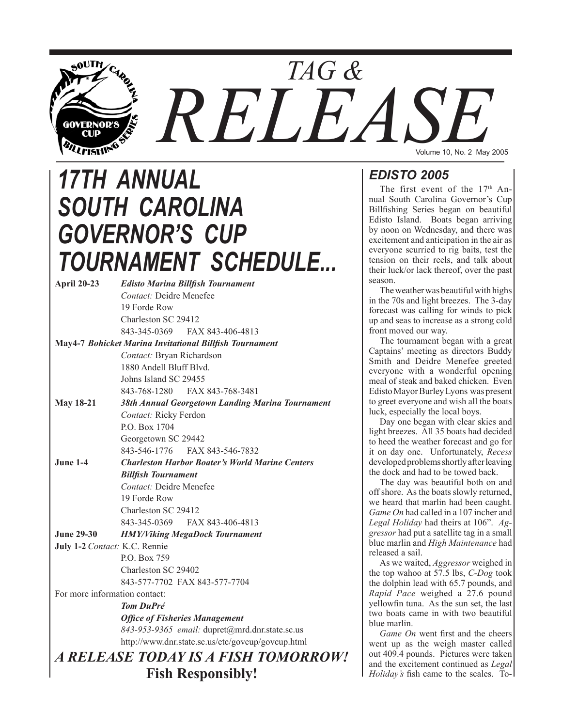

# *17TH ANNUAL SOUTH CAROLINA GOVERNOR'S CUP TOURNAMENT SCHEDULE...*

**April 20-23** *Edisto Marina Billfish Tournament Contact:* Deidre Menefee 19 Forde Row Charleston SC 29412 843-345-0369 FAX 843-406-4813 **May4-7** *Bohicket Marina Invitational Billfish Tournament*

 *Contact:* Bryan Richardson 1880 Andell Bluff Blvd. Johns Island SC 29455 843-768-1280 FAX 843-768-3481 **May 18-21** *38th Annual Georgetown Landing Marina Tournament*

> *Contact:* Ricky Ferdon P.O. Box 1704 Georgetown SC 29442 843-546-1776 FAX 843-546-7832

**June 1-4** *Charleston Harbor Boater's World Marine Centers Billfish Tournament Contact:* Deidre Menefee 19 Forde Row Charleston SC 29412 843-345-0369 FAX 843-406-4813

- **June 29-30** *HMY/Viking MegaDock Tournament*
- **July 1-2** *Contact:* K.C. Rennie P.O. Box 759 Charleston SC 29402 843-577-7702 FAX 843-577-7704

For more information contact:

*Tom DuPré* *Office of Fisheries Management 843-953-9365 email:* dupret@mrd.dnr.state.sc.us http://www.dnr.state.sc.us/etc/govcup/govcup.html

# *A RELEASE TODAY IS A FISH TOMORROW!* **Fish Responsibly!**

Volume 10, No. 2 May 2005

# *EDISTO 2005*

The first event of the  $17<sup>th</sup>$  Annual South Carolina Governor's Cup Billfishing Series began on beautiful Edisto Island. Boats began arriving by noon on Wednesday, and there was excitement and anticipation in the air as everyone scurried to rig baits, test the tension on their reels, and talk about their luck/or lack thereof, over the past season.

The weather was beautiful with highs in the 70s and light breezes. The 3-day forecast was calling for winds to pick up and seas to increase as a strong cold front moved our way.

The tournament began with a great Captains' meeting as directors Buddy Smith and Deidre Menefee greeted everyone with a wonderful opening meal of steak and baked chicken. Even Edisto Mayor Burley Lyons was present to greet everyone and wish all the boats luck, especially the local boys.

Day one began with clear skies and light breezes. All 35 boats had decided to heed the weather forecast and go for it on day one. Unfortunately, *Recess*  developed problems shortly after leaving the dock and had to be towed back.

The day was beautiful both on and off shore. As the boats slowly returned, we heard that marlin had been caught. *Game On* had called in a 107 incher and *Legal Holiday* had theirs at 106". *Aggressor* had put a satellite tag in a small blue marlin and *High Maintenance* had released a sail.

As we waited, *Aggressor* weighed in the top wahoo at 57.5 lbs, *C-Dog* took the dolphin lead with 65.7 pounds, and *Rapid Pace* weighed a 27.6 pound yellowfin tuna. As the sun set, the last two boats came in with two beautiful blue marlin.

*Game On* went first and the cheers went up as the weigh master called out 409.4 pounds. Pictures were taken and the excitement continued as *Legal Holiday's* fish came to the scales. To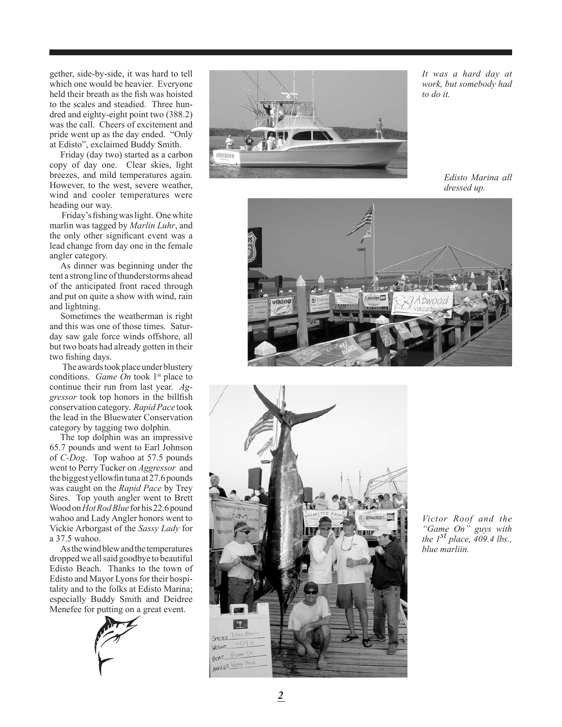gether, side-by-side, it was hard to tell which one would be heavier. Everyone held their breath as the fish was hoisted to the scales and steadied. Three hun dred and eighty-eight point two (388.2) was the call. Cheers of excitement and pride went up as the day ended. "Only at Edisto", exclaimed Buddy Smith.

Friday (day two) started as a carbon copy of day one. Clear skies, light breezes, and mild temperatures again. However, to the west, severe weather, wind and cooler temperatures were heading our way.

 Friday's fishing was light. One white marlin was tagged by *Marlin Luhr*, and the only other significant event was a lead change from day one in the female angler category.

As dinner was beginning under the tent a strong line of thunderstorms ahead of the anticipated front raced through and put on quite a show with wind, rain and lightning.

Sometimes the weatherman is right and this was one of those times. Satur day saw gale force winds offshore, all but two boats had already gotten in their two fishing days.

 The awards took place under blustery conditions. *Game On* took 1<sup>st</sup> place to continue their run from last year. *Ag gressor* took top honors in the billfish conservation category. *Rapid Pace* took the lead in the Bluewater Conservation category by tagging two dolphin.

The top dolphin was an impressive 65.7 pounds and went to Earl Johnson of *C-Dog*. Top wahoo at 57.5 pounds went to Perry Tucker on *Aggressor* and the biggest yellowfin tuna at 27.6 pounds was caught on the *Rapid Pace* by Trey Sires. Top youth angler went to Brett Wood on *Hot Rod Blue* for his 22.6 pound wahoo and Lady Angler honors went to Vickie Arborgast of the *Sassy Lady* for a 37.5 wahoo.

As the wind blew and the temperatures dropped we all said goodbye to beautiful Edisto Beach. Thanks to the town of Edisto and Mayor Lyons for their hospi tality and to the folks at Edisto Marina; especially Buddy Smith and Deidree Menefee for putting on a great event.





*It was a hard day at work, but somebody had to do it.*

*Edisto Marina all dressed up.*





*Victor Roof and the "Game On" guys with the 1st place, 409.4 lbs., blue marliin.*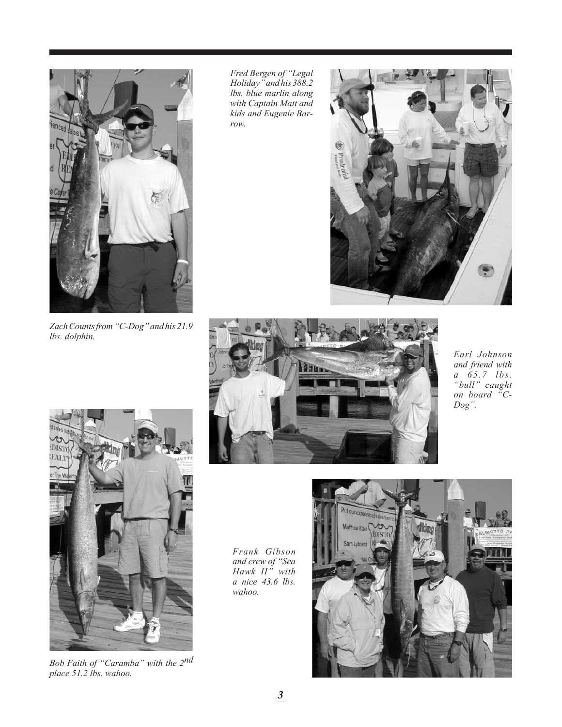

*Zach Counts from "C-Dog" and his 21.9 lbs. dolphin.*

*Fred Bergen of "Legal Holiday" and his 388.2 lbs. blue marlin along with Captain Matt and kids and Eugenie Barrow.*





*Bob Faith of "Caramba" with the 2nd place 51.2 lbs. wahoo.*



*Earl Johnson and friend with a 65.7 lbs. "bull" caught on board "C-Dog".*

*Frank Gibson and crew of "Sea Hawk II" with a nice 43.6 lbs. wahoo.*

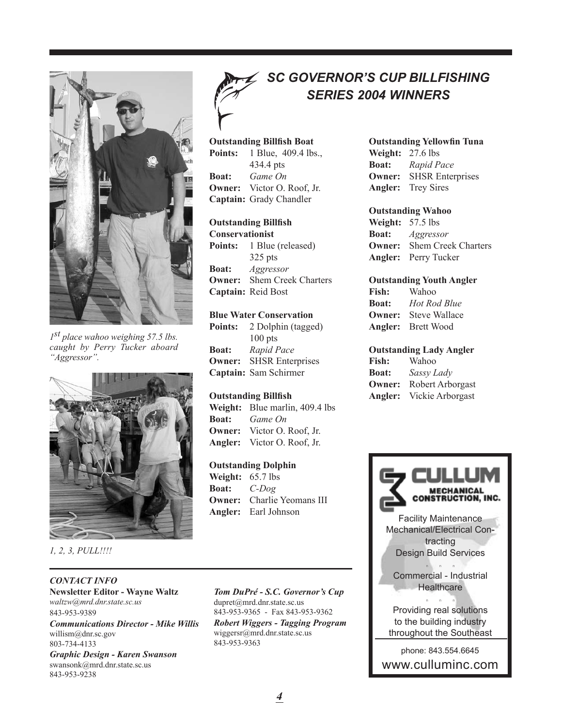

*1st place wahoo weighing 57.5 lbs. caught by Perry Tucker aboard "Aggressor".*



*1, 2, 3, PULL!!!!*

#### *CONTACT INFO*

**Newsletter Editor - Wayne Waltz** *waltzw@mrd.dnr.state.sc.us* 843-953-9389

*Communications Director - Mike Willis* willism@dnr.sc.gov 803-734-4133

*Graphic Design - Karen Swanson* swansonk@mrd.dnr.state.sc.us 843-953-9238

# *SC Governor's Cup Billfishing Series 2004 WINNERS*

#### **Outstanding Billfish Boat Points:** 1 Blue, 409.4 lbs.,

434.4 pts **Boat:** *Game On* **Owner:** Victor O. Roof, Jr. **Captain:** Grady Chandler

#### **Outstanding Billfish**

**Conservationist Points:** 1 Blue (released) 325 pts **Boat:** *Aggressor* **Owner:** Shem Creek Charters **Captain:** Reid Bost

#### **Blue Water Conservation**

**Points:** 2 Dolphin (tagged) 100 pts **Boat:** *Rapid Pace* **Owner:** SHSR Enterprises **Captain:** Sam Schirmer

#### **Outstanding Billfish**

**Weight:** Blue marlin, 409.4 lbs **Boat:** *Game On* **Owner:** Victor O. Roof, Jr. **Angler:** Victor O. Roof, Jr.

#### **Outstanding Dolphin**

**Weight:** 65.7 lbs **Boat:** *C-Dog* **Owner:** Charlie Yeomans III **Angler:** Earl Johnson

#### *Tom DuPré - S.C. Governor's Cup* dupret@mrd.dnr.state.sc.us 843-953-9365 - Fax 843-953-9362 *Robert Wiggers - Tagging Program* wiggersr@mrd.dnr.state.sc.us 843-953-9363

#### **Outstanding Yellowfin Tuna**

**Weight:** 27.6 lbs **Boat:** *Rapid Pace* **Owner:** SHSR Enterprises **Angler:** Trey Sires

#### **Outstanding Wahoo**

**Weight:** 57.5 lbs **Boat:** *Aggressor* **Owner:** Shem Creek Charters **Angler:** Perry Tucker

#### **Outstanding Youth Angler**

**Fish:** Wahoo **Boat:** *Hot Rod Blue* **Owner:** Steve Wallace **Angler:** Brett Wood

#### **Outstanding Lady Angler**

| <b>Fish:</b>  | Wahoo            |
|---------------|------------------|
| <b>Boat:</b>  | Sassy Lady       |
| <b>Owner:</b> | Robert Arborgast |
| Angler:       | Vickie Arborgast |

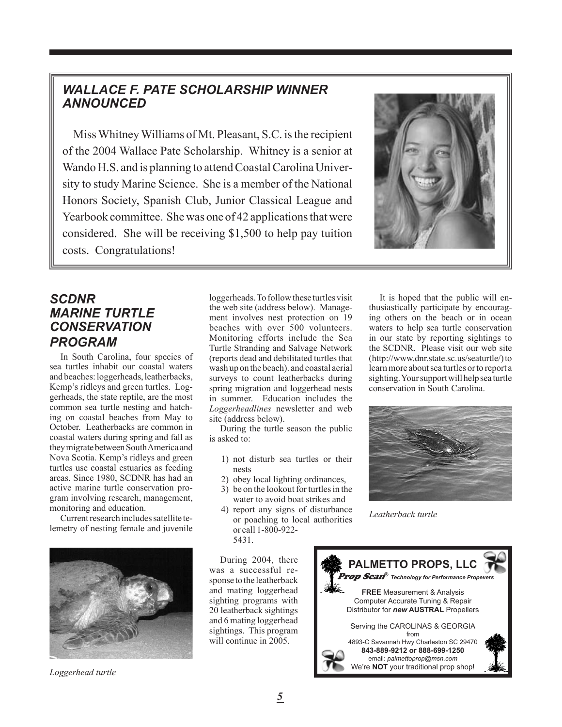## *Wallace F. Pate Scholarship Winner Announced*

Miss Whitney Williams of Mt. Pleasant, S.C. is the recipient of the 2004 Wallace Pate Scholarship. Whitney is a senior at Wando H.S. and is planning to attend Coastal Carolina University to study Marine Science. She is a member of the National Honors Society, Spanish Club, Junior Classical League and Yearbook committee. She was one of 42 applications that were considered. She will be receiving \$1,500 to help pay tuition costs. Congratulations!



### *SCDNR Marine Turtle Conservation program*

In South Carolina, four species of sea turtles inhabit our coastal waters and beaches: loggerheads, leatherbacks, Kemp's ridleys and green turtles. Loggerheads, the state reptile, are the most common sea turtle nesting and hatching on coastal beaches from May to October. Leatherbacks are common in coastal waters during spring and fall as they migrate between South America and Nova Scotia. Kemp's ridleys and green turtles use coastal estuaries as feeding areas. Since 1980, SCDNR has had an active marine turtle conservation program involving research, management, monitoring and education.

Current research includes satellite telemetry of nesting female and juvenile



loggerheads. To follow these turtles visit the web site (address below). Management involves nest protection on 19 beaches with over 500 volunteers. Monitoring efforts include the Sea Turtle Stranding and Salvage Network (reports dead and debilitated turtles that wash up on the beach). and coastal aerial surveys to count leatherbacks during spring migration and loggerhead nests in summer. Education includes the *Loggerheadlines* newsletter and web site (address below).

During the turtle season the public is asked to:

- 1) not disturb sea turtles or their nests
- 2) obey local lighting ordinances,
- 3) be on the lookout for turtles in the water to avoid boat strikes and
- 4) report any signs of disturbance or poaching to local authorities or call 1-800-922- 5431.

During 2004, there was a successful response to the leatherback and mating loggerhead sighting programs with 20 leatherback sightings and 6 mating loggerhead sightings. This program will continue in 2005.



It is hoped that the public will enthusiastically participate by encouraging others on the beach or in ocean waters to help sea turtle conservation in our state by reporting sightings to the SCDNR. Please visit our web site (http://www.dnr.state.sc.us/seaturtle/) to learn more about sea turtles or to report a sighting. Your support will help sea turtle conservation in South Carolina.



*Leatherback turtle*